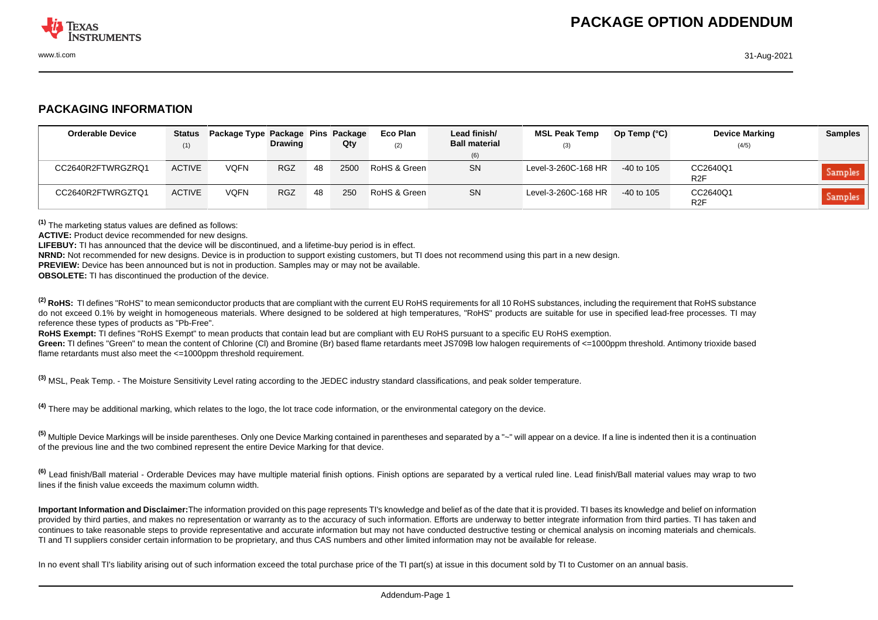

## **PACKAGING INFORMATION**

| <b>Orderable Device</b> | Status<br>(1) | Package Type Package Pins Package | <b>Drawing</b> |    | Qty  | Eco Plan<br>(2) | Lead finish/<br><b>Ball material</b> | <b>MSL Peak Temp</b><br>(3) | Op Temp $(^{\circ}C)$ | <b>Device Marking</b><br>(4/5) | <b>Samples</b> |
|-------------------------|---------------|-----------------------------------|----------------|----|------|-----------------|--------------------------------------|-----------------------------|-----------------------|--------------------------------|----------------|
|                         |               |                                   |                |    |      |                 | (6)                                  |                             |                       |                                |                |
| CC2640R2FTWRGZRQ1       | <b>ACTIVE</b> | <b>VQFN</b>                       | <b>RGZ</b>     | 48 | 2500 | RoHS & Green    | <b>SN</b>                            | Level-3-260C-168 HR         | $-40$ to 105          | CC2640Q1<br>R2F                | Samples        |
| CC2640R2FTWRGZTQ1       | <b>ACTIVE</b> | <b>VQFN</b>                       | <b>RGZ</b>     | 48 | 250  | RoHS & Green    | <b>SN</b>                            | Level-3-260C-168 HR         | $-40$ to 105          | CC2640Q1<br>R <sub>2</sub> F   | Samples        |

**(1)** The marketing status values are defined as follows:

ACTIVE: Product device recommended for new designs.

**LIFEBUY:** TI has announced that the device will be discontinued, and a lifetime-buy period is in effect.

**NRND:** Not recommended for new designs. Device is in production to support existing customers, but TI does not recommend using this part in a new design.

**PREVIEW:** Device has been announced but is not in production. Samples may or may not be available.

**OBSOLETE:** TI has discontinued the production of the device.

<sup>(2)</sup> RoHS: TI defines "RoHS" to mean semiconductor products that are compliant with the current EU RoHS requirements for all 10 RoHS substances, including the requirement that RoHS substance do not exceed 0.1% by weight in homogeneous materials. Where designed to be soldered at high temperatures, "RoHS" products are suitable for use in specified lead-free processes. TI may reference these types of products as "Pb-Free".

RoHS Exempt: TI defines "RoHS Exempt" to mean products that contain lead but are compliant with EU RoHS pursuant to a specific EU RoHS exemption.

Green: TI defines "Green" to mean the content of Chlorine (CI) and Bromine (Br) based flame retardants meet JS709B low halogen requirements of <=1000ppm threshold. Antimony trioxide based flame retardants must also meet the <=1000ppm threshold requirement.

**(3)** MSL, Peak Temp. - The Moisture Sensitivity Level rating according to the JEDEC industry standard classifications, and peak solder temperature.

**(4)** There may be additional marking, which relates to the logo, the lot trace code information, or the environmental category on the device.

**(5)** Multiple Device Markings will be inside parentheses. Only one Device Marking contained in parentheses and separated by a "~" will appear on a device. If a line is indented then it is a continuation of the previous line and the two combined represent the entire Device Marking for that device.

**(6)** Lead finish/Ball material - Orderable Devices may have multiple material finish options. Finish options are separated by a vertical ruled line. Lead finish/Ball material values may wrap to two lines if the finish value exceeds the maximum column width.

**Important Information and Disclaimer:**The information provided on this page represents TI's knowledge and belief as of the date that it is provided. TI bases its knowledge and belief on information provided by third parties, and makes no representation or warranty as to the accuracy of such information. Efforts are underway to better integrate information from third parties. TI has taken and continues to take reasonable steps to provide representative and accurate information but may not have conducted destructive testing or chemical analysis on incoming materials and chemicals. TI and TI suppliers consider certain information to be proprietary, and thus CAS numbers and other limited information may not be available for release.

In no event shall TI's liability arising out of such information exceed the total purchase price of the TI part(s) at issue in this document sold by TI to Customer on an annual basis.